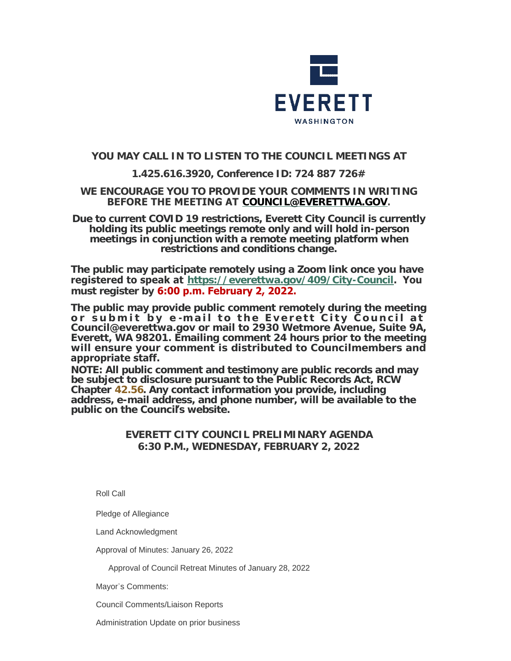

# **YOU MAY CALL IN TO LISTEN TO THE COUNCIL MEETINGS AT**

# **1.425.616.3920, Conference ID: 724 887 726#**

## **WE ENCOURAGE YOU TO PROVIDE YOUR COMMENTS IN WRITING BEFORE THE MEETING AT [COUNCIL@EVERETTWA.GOV](mailto:COUNCIL@EVERETTWA.GOV).**

**Due to current COVID 19 restrictions, Everett City Council is currently holding its public meetings remote only and will hold in-person meetings in conjunction with a remote meeting platform when restrictions and conditions change.**

**The public may participate remotely using a Zoom link once you have registered to speak at <https://everettwa.gov/409/City-Council>. You must register by 6:00 p.m. February 2, 2022.** 

**The public may provide public comment remotely during the meeting or submit by e -mail to the Everett City Council at Council@everettwa.gov or mail to 2930 Wetmore Avenue, Suite 9A, Everett, WA 98201. Emailing comment 24 hours prior to the meeting will ensure your comment is distributed to Councilmembers and appropriate staff.** 

*NOTE: All public comment and testimony are public records and may be subject to disclosure pursuant to the Public Records Act, RCW Chapter [42.56](https://apps.leg.wa.gov/rcw/default.aspx?cite=42.56). Any contact information you provide, including address, e-mail address, and phone number, will be available to the public on the Council***'***s website.*

# **EVERETT CITY COUNCIL PRELIMINARY AGENDA 6:30 P.M., WEDNESDAY, FEBRUARY 2, 2022**

Roll Call

Pledge of Allegiance

Land Acknowledgment

Approval of Minutes: January 26, 2022

Approval of Council Retreat Minutes of January 28, 2022

Mayor's Comments:

Council Comments/Liaison Reports

Administration Update on prior business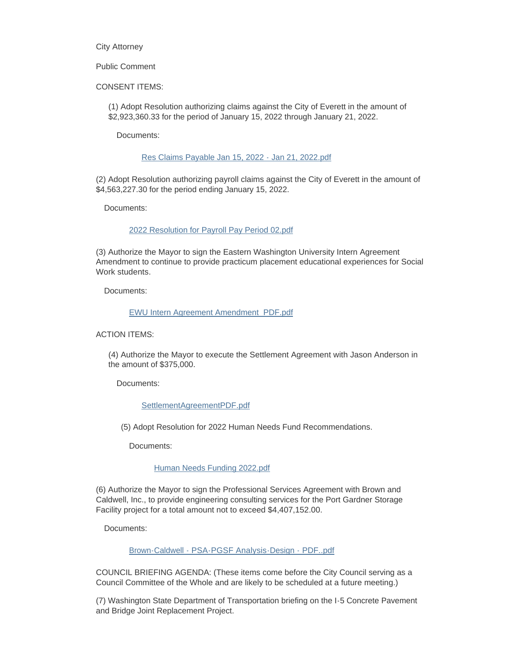City Attorney

#### Public Comment

CONSENT ITEMS:

(1) Adopt Resolution authorizing claims against the City of Everett in the amount of \$2,923,360.33 for the period of January 15, 2022 through January 21, 2022.

Documents:

#### [Res Claims Payable Jan 15, 2022 - Jan 21, 2022.pdf](https://www.everettwa.gov/AgendaCenter/ViewFile/Item/13336?fileID=79810)

(2) Adopt Resolution authorizing payroll claims against the City of Everett in the amount of \$4,563,227.30 for the period ending January 15, 2022.

Documents:

#### [2022 Resolution for Payroll Pay Period 02.pdf](https://www.everettwa.gov/AgendaCenter/ViewFile/Item/13337?fileID=79811)

(3) Authorize the Mayor to sign the Eastern Washington University Intern Agreement Amendment to continue to provide practicum placement educational experiences for Social Work students.

Documents:

#### [EWU Intern Agreement Amendment\\_PDF.pdf](https://www.everettwa.gov/AgendaCenter/ViewFile/Item/13338?fileID=79812)

ACTION ITEMS:

(4) Authorize the Mayor to execute the Settlement Agreement with Jason Anderson in the amount of \$375,000.

Documents:

#### [SettlementAgreementPDF.pdf](https://www.everettwa.gov/AgendaCenter/ViewFile/Item/13339?fileID=79813)

(5) Adopt Resolution for 2022 Human Needs Fund Recommendations.

Documents:

### [Human Needs Funding 2022.pdf](https://www.everettwa.gov/AgendaCenter/ViewFile/Item/13340?fileID=79819)

(6) Authorize the Mayor to sign the Professional Services Agreement with Brown and Caldwell, Inc., to provide engineering consulting services for the Port Gardner Storage Facility project for a total amount not to exceed \$4,407,152.00.

Documents:

[Brown-Caldwell - PSA-PGSF Analysis-Design - PDF..pdf](https://www.everettwa.gov/AgendaCenter/ViewFile/Item/13341?fileID=79815)

COUNCIL BRIEFING AGENDA: (These items come before the City Council serving as a Council Committee of the Whole and are likely to be scheduled at a future meeting.)

(7) Washington State Department of Transportation briefing on the I-5 Concrete Pavement and Bridge Joint Replacement Project.